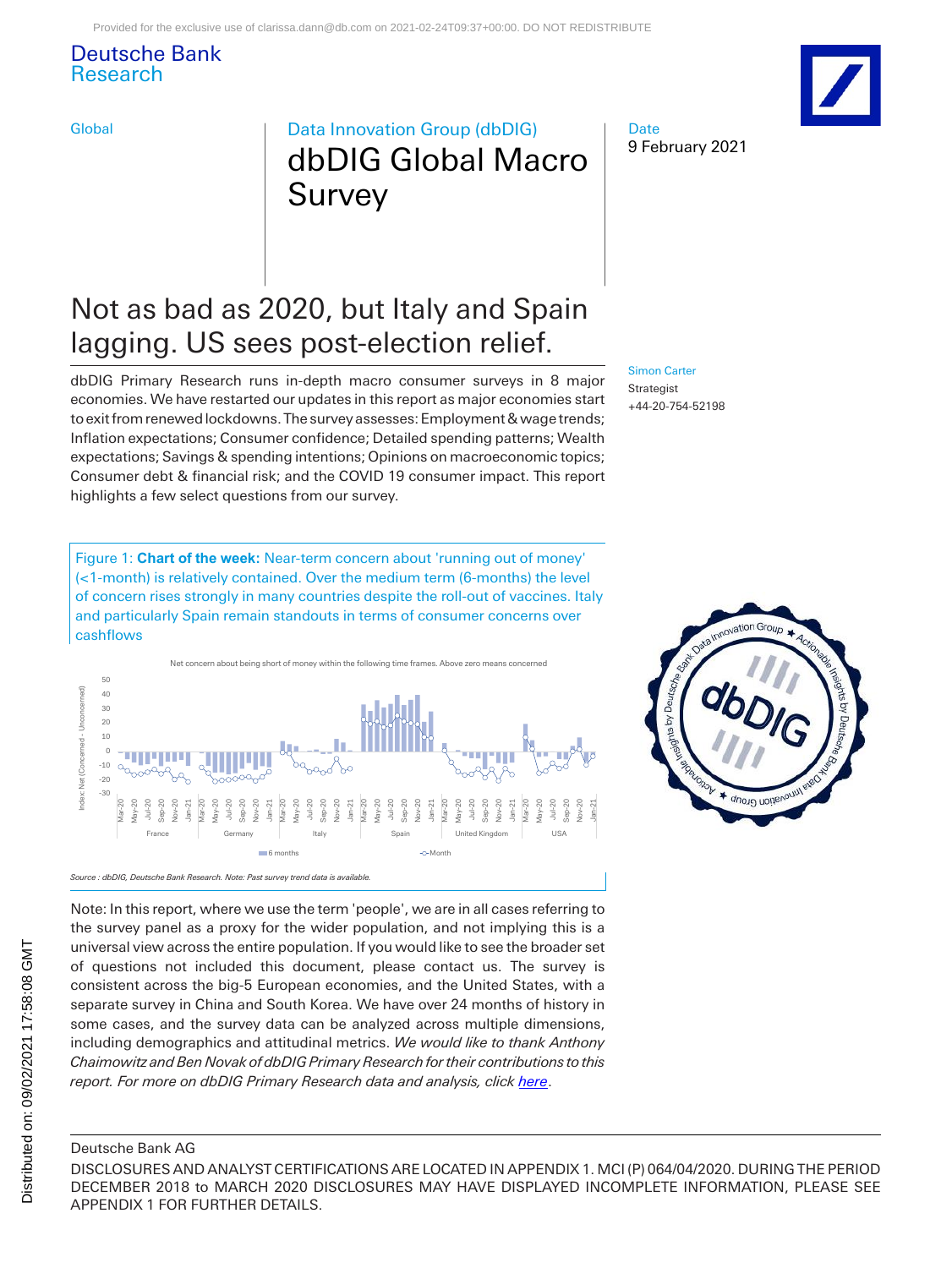### Deutsche Bank Research

### Global **Data Innovation Group (dbDIG)** dbDIG Global Macro Survey

### Not as bad as 2020, but Italy and Spain lagging. US sees post-election relief.

dbDIG Primary Research runs in-depth macro consumer surveys in 8 major economies. We have restarted our updates in this report as major economies start to exit from renewed lockdowns. The survey assesses: Employment & wage trends; Inflation expectations; Consumer confidence; Detailed spending patterns; Wealth expectations; Savings & spending intentions; Opinions on macroeconomic topics; Consumer debt & financial risk; and the COVID 19 consumer impact. This report highlights a few select questions from our survey.

Figure 1: **Chart of the week:** Near-term concern about 'running out of money' (<1-month) is relatively contained. Over the medium term (6-months) the level of concern rises strongly in many countries despite the roll-out of vaccines. Italy and particularly Spain remain standouts in terms of consumer concerns over cashflows



Note: In this report, where we use the term 'people', we are in all cases referring to the survey panel as a proxy for the wider population, and not implying this is a universal view across the entire population. If you would like to see the broader set of questions not included this document, please contact us. The survey is consistent across the big-5 European economies, and the United States, with a separate survey in China and South Korea. We have over 24 months of history in some cases, and the survey data can be analyzed across multiple dimensions, including demographics and attitudinal metrics. *We would like to thank Anthony Chaimowitz and Ben Novak of dbDIG Primary Research for their contributions to this report. For more on dbDIG Primary Research data and analysis, click [here](https://research.db.com/Research/Topics/Themes?topicId=RS1175)*.



#### [Simon Carter](mailto:simon-d.carter@db.com) Strategist +44-20-754-52198



### Deutsche Bank AG

DISCLOSURES AND ANALYST CERTIFICATIONS ARE LOCATED IN APPENDIX 1. MCI (P) 064/04/2020. DURING THE PERIOD DECEMBER 2018 to MARCH 2020 DISCLOSURES MAY HAVE DISPLAYED INCOMPLETE INFORMATION, PLEASE SEE APPENDIX 1 FOR FURTHER DETAILS.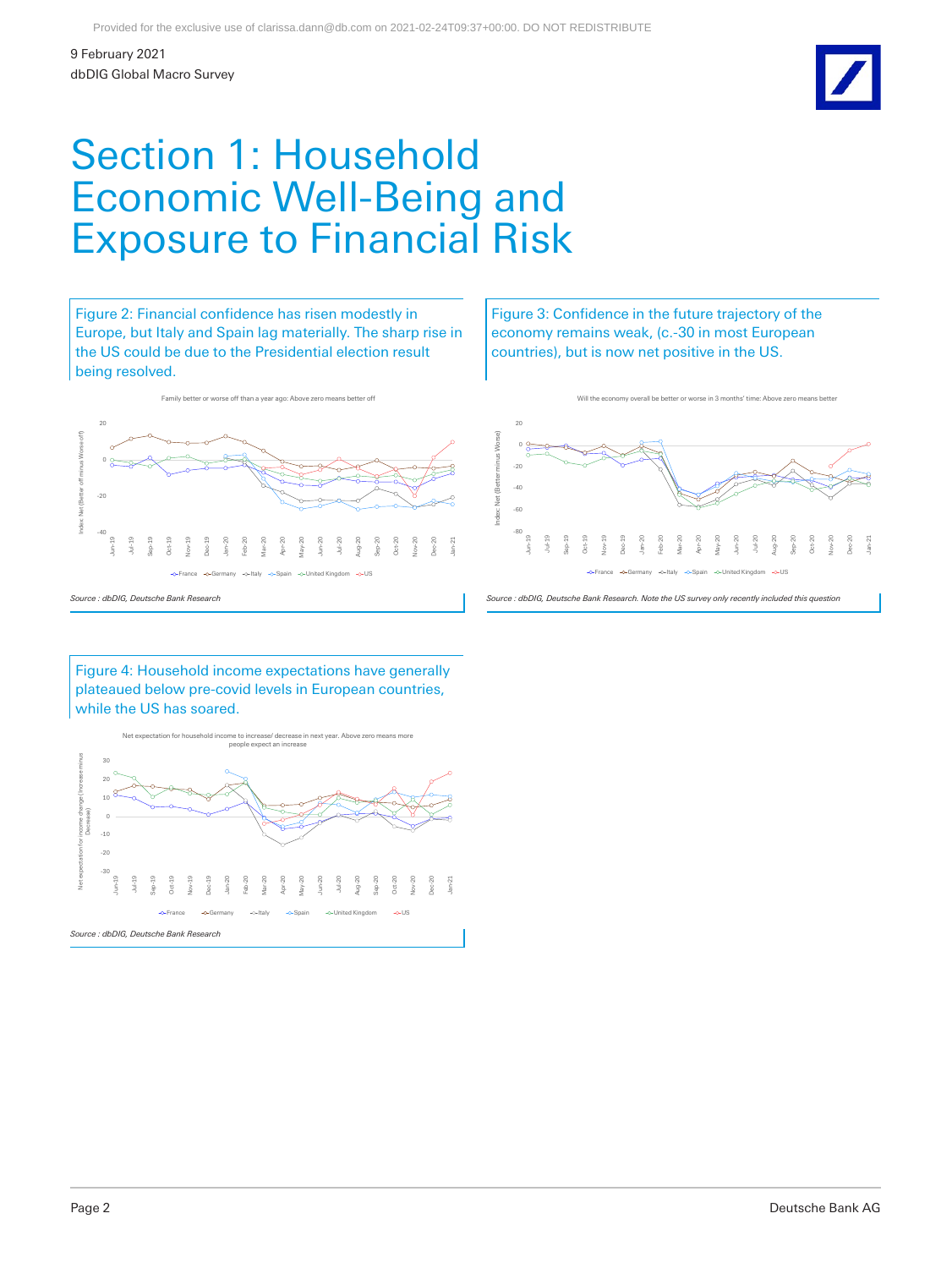

### Section 1: Household Economic Well-Being and Exposure to Financial Risk

Figure 2: Financial confidence has risen modestly in Europe, but Italy and Spain lag materially. The sharp rise in the US could be due to the Presidential election result being resolved.

Family better or worse off than a year ago: Above zero m

Figure 3: Confidence in the future trajectory of the economy remains weak, (c.-30 in most European countries), but is now net positive in the US.

Will the economy overall be better or worse in 3 months' time:



-80 -60 -40 -20 0 20 Jun-19 Jul-19 Sep-19 Oct-19 Nov-19 Dec-19 Jan-20 Feb-20 Mar-20 Apr-20 May-20 Jun-20 Jul-20 Aug-20 Sep-20 Oct-20 Nov-20 Dec-20 Jan-21 Index: Net (Better minus Worse) -O-United Kin

Figure 4: Household income expectations have generally plateaued below pre-covid levels in European countries, while the US has soared.



*Source : dbDIG, Deutsche Bank Research. Note the US survey only recently included this question*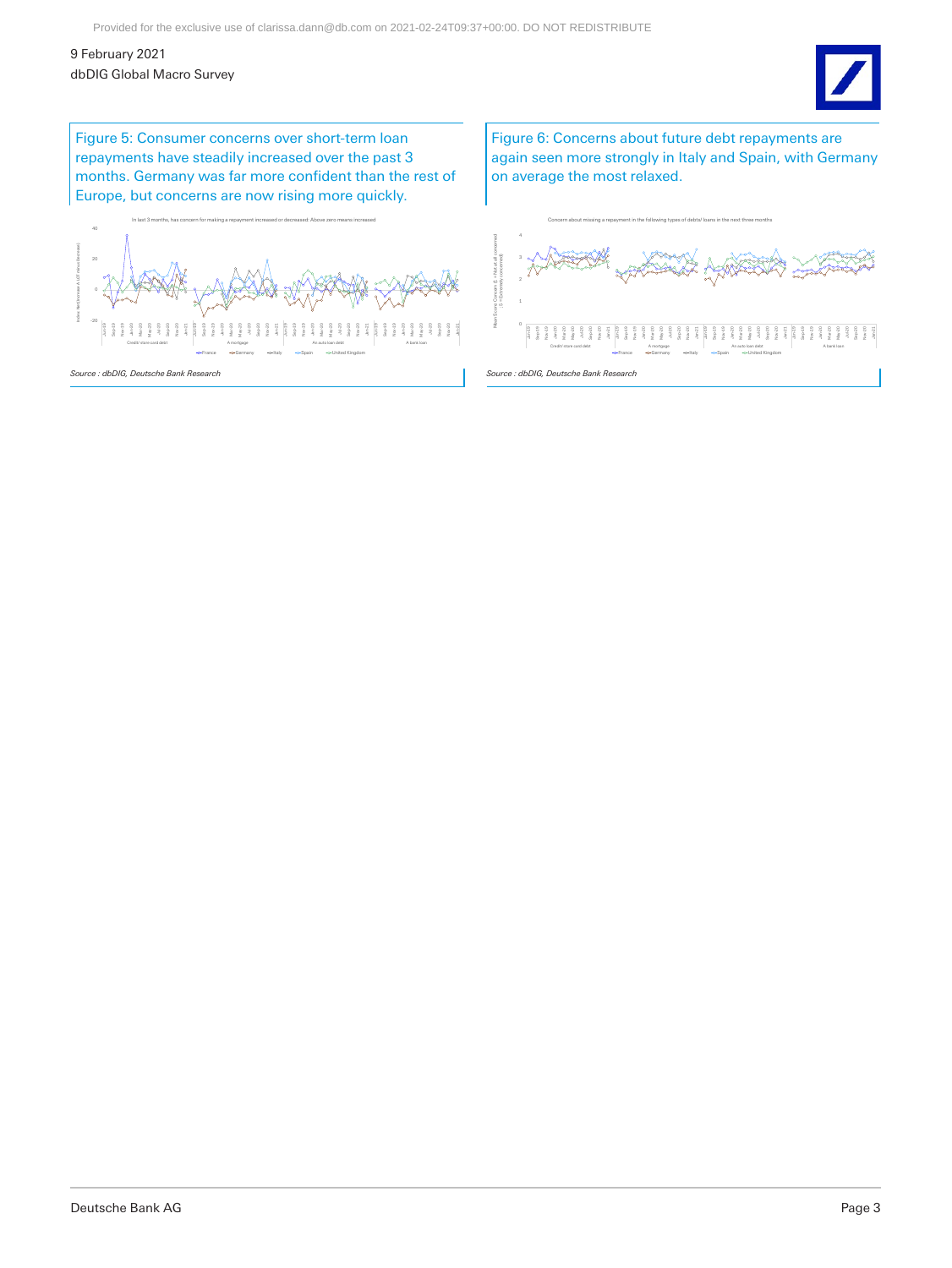

Figure 5: Consumer concerns over short-term loan repayments have steadily increased over the past 3 months. Germany was far more confident than the rest of Europe, but concerns are now rising more quickly.

-20 0 20 40 Jun-19 Sep-19 Nov-19 Jan-20 Mar-20 May-20 Jul-20 Sep-20 Nov-20 Jan-21 Jun-19 Sep-19 Nov-19 Jan-20 Mar-20 May-20 Jul-20 Sep-20 Nov-20 지역 19 19 19 19 19<br>이 시 시 시 시 시 시<br>시 시 시 시 시 시 Jul-20 Sep-20 Nov-20 Jan-21 Jun-19 Sep-19 Nov-19 Jan-20 Mar-20 May-20 Jul-20 Sep-20 Nov-20 Jan-21 Credit/ store card debt Amortgage Amortgage An auto loan debt An auto loan debt A bank loan In last 3 months, has concern for making a repayment increased or decreased: Above zero means increased France <br />
Germany <br />
<br />
<br />
<br />
<br />
<br />
<br />
<br />
<br />
<br />
<br />
<br />
<br />
<br />
<br />
<br />
<br />
<br />
<br />
<br />
<br />
<br />
<br />
<br />
<br />
<br />
<br />
<br />
<br Index: Net (Increase A LOT minus Decrease) *Source : dbDIG, Deutsche Bank Research*

Figure 6: Concerns about future debt repayments are again seen more strongly in Italy and Spain, with Germany on average the most relaxed.

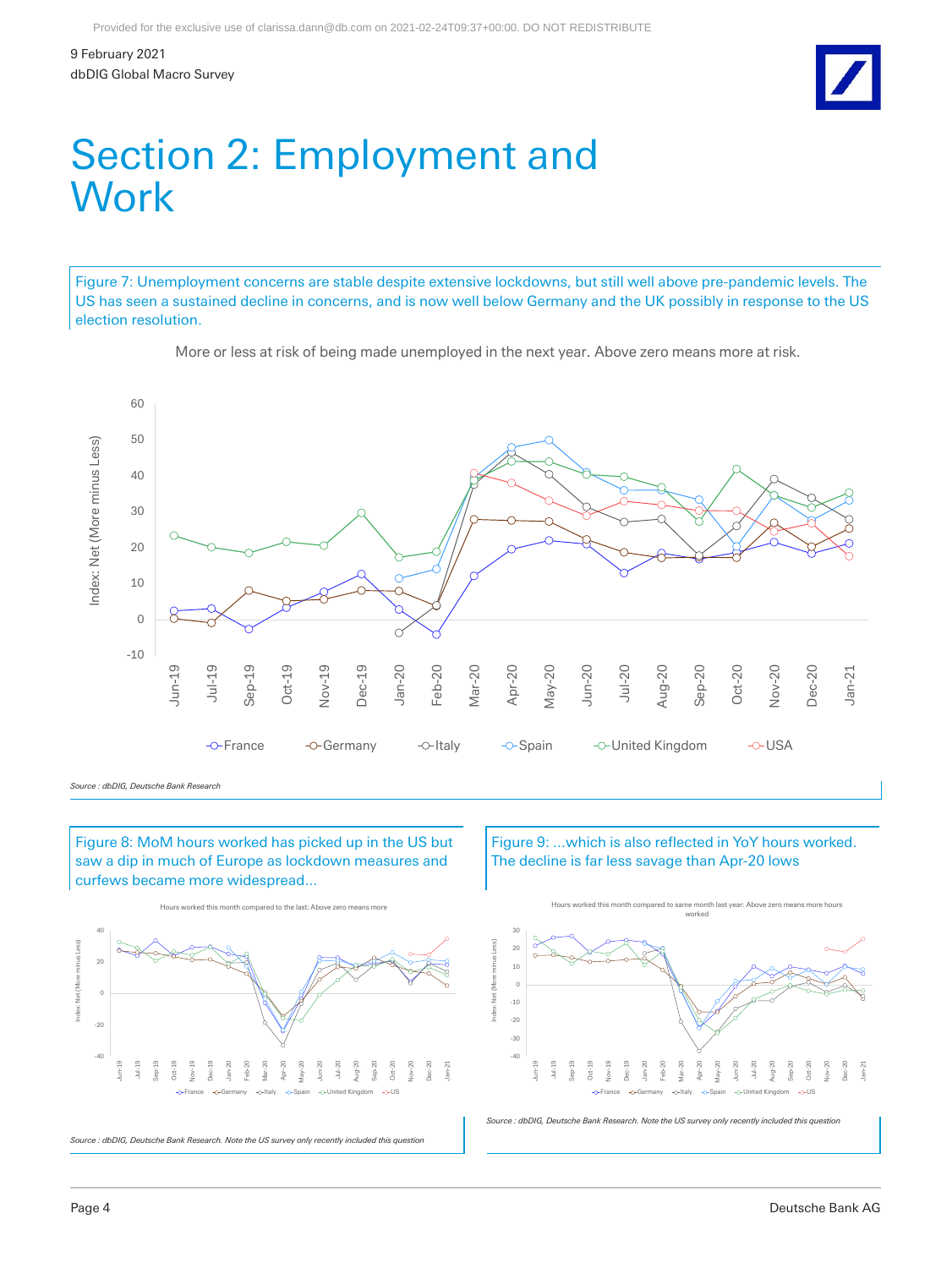

### Section 2: Employment and **Work**

Figure 7: Unemployment concerns are stable despite extensive lockdowns, but still well above pre-pandemic levels. The US has seen a sustained decline in concerns, and is now well below Germany and the UK possibly in response to the US election resolution.



More or less at risk of being made unemployed in the next year. Above zero means more at risk.

Figure 8: MoM hours worked has picked up in the US but saw a dip in much of Europe as lockdown measures and curfews became more widespread...



Figure 9: ...which is also reflected in YoY hours worked. The decline is far less savage than Apr-20 lows



*Source : dbDIG, Deutsche Bank Research. Note the US survey only recently included this question*

*Source : dbDIG, Deutsche Bank Research*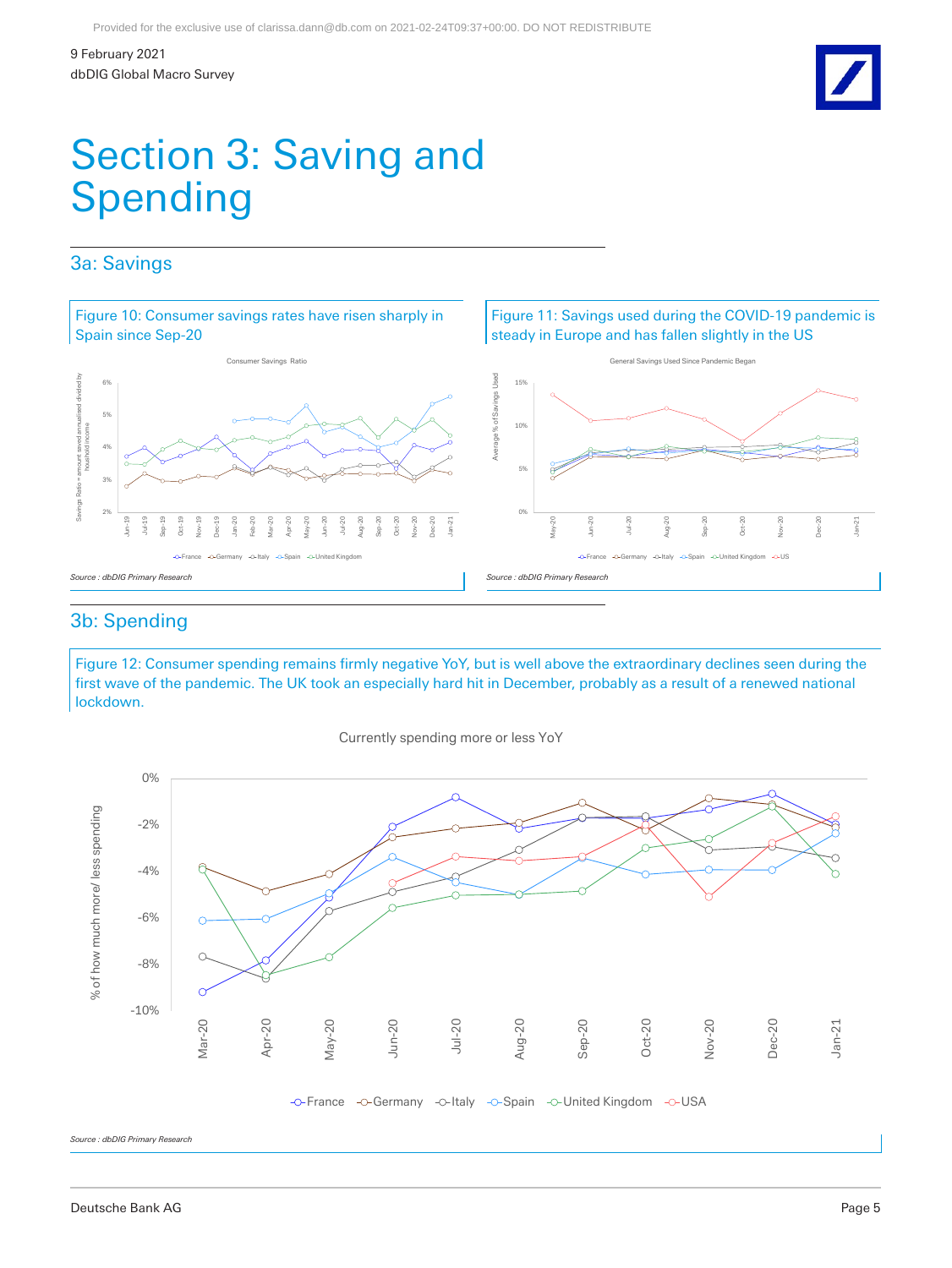Jan-21

## Section 3: Saving and Spending

### 3a: Savings



### 3b: Spending

Figure 12: Consumer spending remains firmly negative YoY, but is well above the extraordinary declines seen during the first wave of the pandemic. The UK took an especially hard hit in December, probably as a result of a renewed national lockdown.



Currently spending more or less YoY

*Source : dbDIG Primary Research*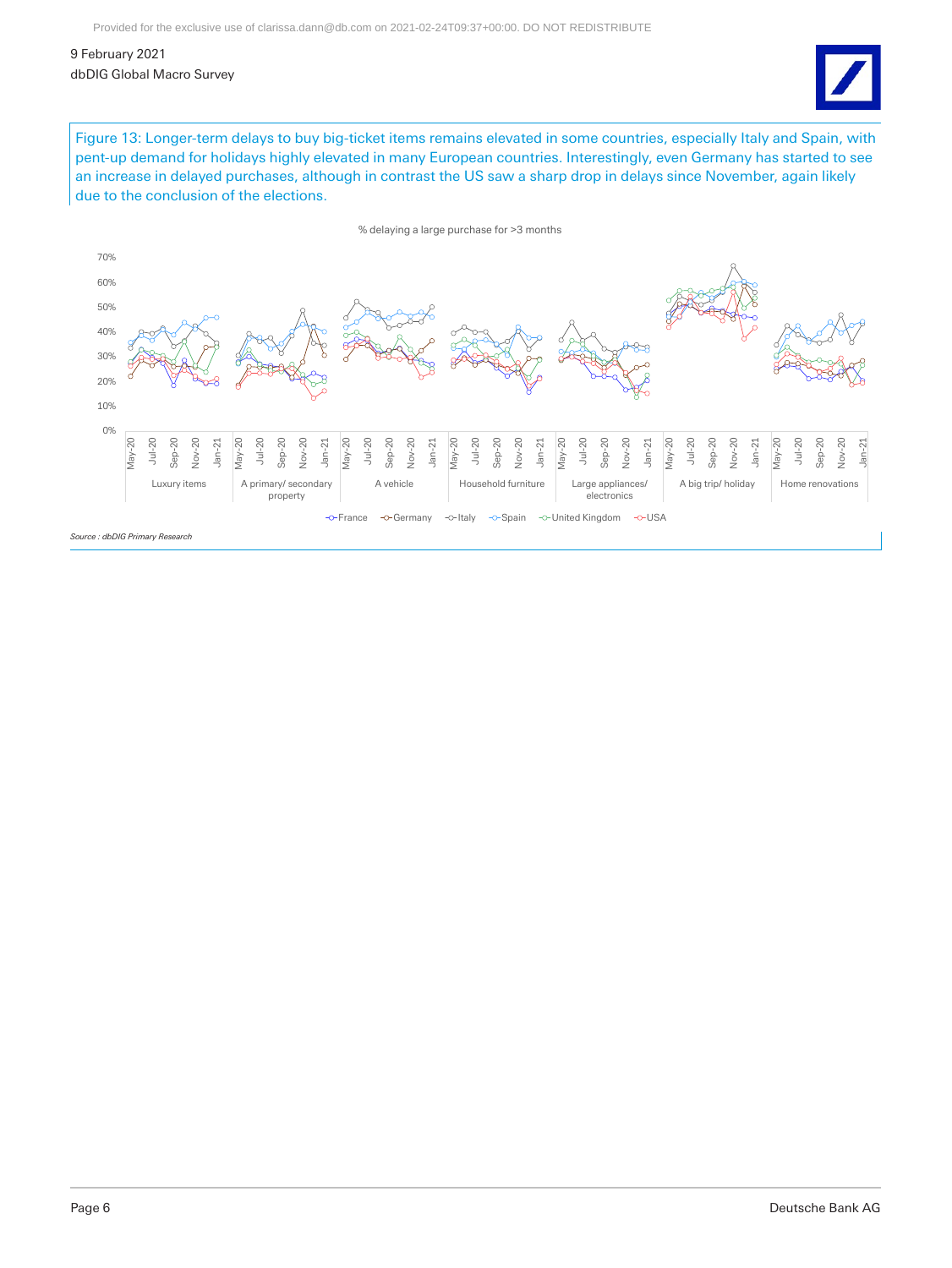

Figure 13: Longer-term delays to buy big-ticket items remains elevated in some countries, especially Italy and Spain, with pent-up demand for holidays highly elevated in many European countries. Interestingly, even Germany has started to see an increase in delayed purchases, although in contrast the US saw a sharp drop in delays since November, again likely due to the conclusion of the elections.

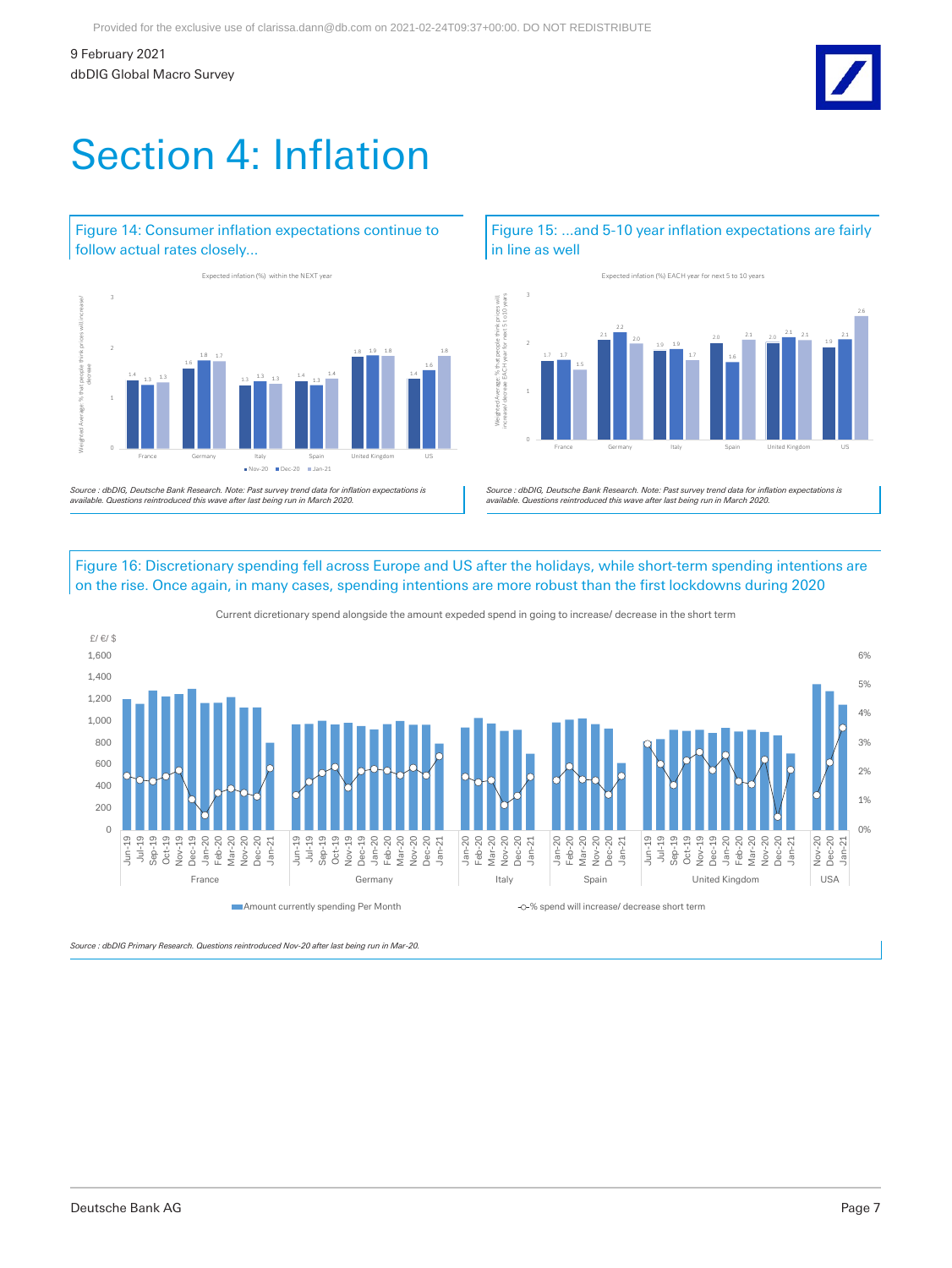# Section 4: Inflation

### Figure 14: Consumer inflation expectations continue to follow actual rates closely...



*Source : dbDIG, Deutsche Bank Research. Note: Past survey trend data for inflation expectations is available. Questions reintroduced this wave after last being run in March 2020.*

### Figure 15: ...and 5-10 year inflation expectations are fairly in line as well



*Source : dbDIG, Deutsche Bank Research. Note: Past survey trend data for inflation expectations is available. Questions reintroduced this wave after last being run in March 2020.*

Figure 16: Discretionary spending fell across Europe and US after the holidays, while short-term spending intentions are on the rise. Once again, in many cases, spending intentions are more robust than the first lockdowns during 2020



Current dicretionary spend alongside the amount expeded spend in going to increase/ decrease in the short term

*Source : dbDIG Primary Research. Questions reintroduced Nov-20 after last being run in Mar-20.*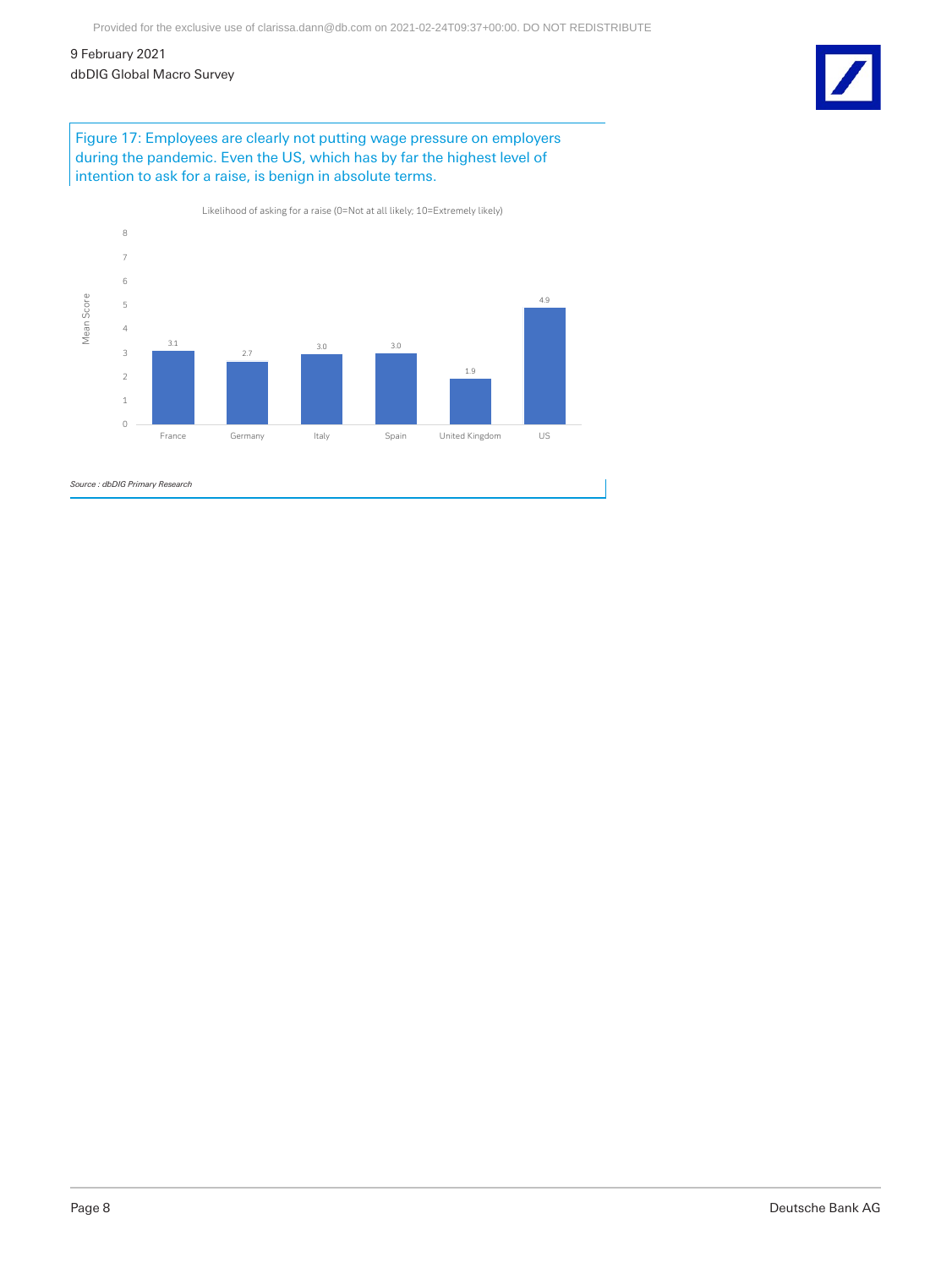9 February 2021

dbDIG Global Macro Survey

Figure 17: Employees are clearly not putting wage pressure on employers during the pandemic. Even the US, which has by far the highest level of intention to ask for a raise, is benign in absolute terms.



Page 8 Deutsche Bank AG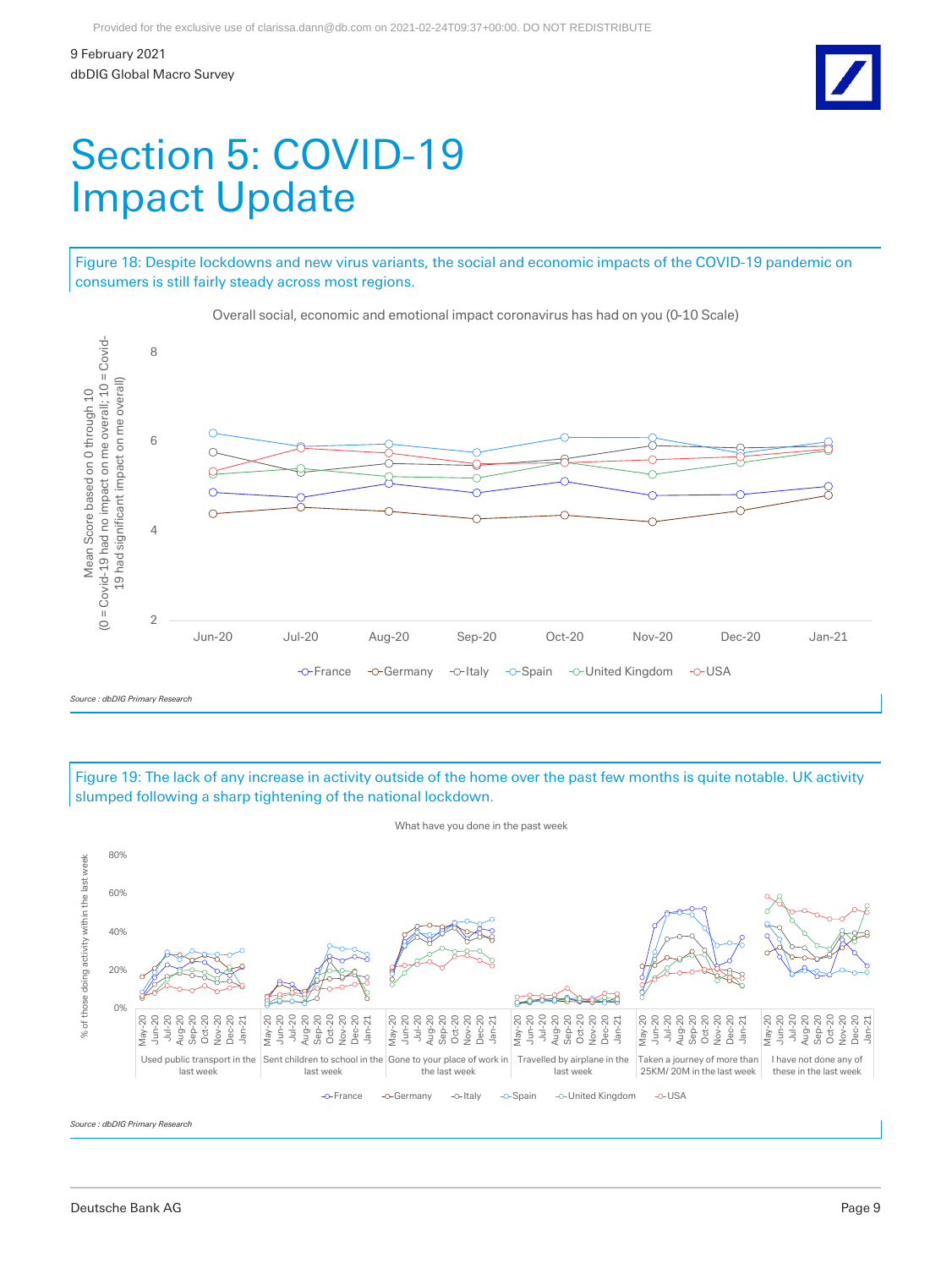## Section 5: COVID-19 Impact Update

Figure 18: Despite lockdowns and new virus variants, the social and economic impacts of the COVID-19 pandemic on consumers is still fairly steady across most regions.



Overall social, economic and emotional impact coronavirus has had on you (0-10 Scale)

Figure 19: The lack of any increase in activity outside of the home over the past few months is quite notable. UK activity slumped following a sharp tightening of the national lockdown.



*Source : dbDIG Primary Research*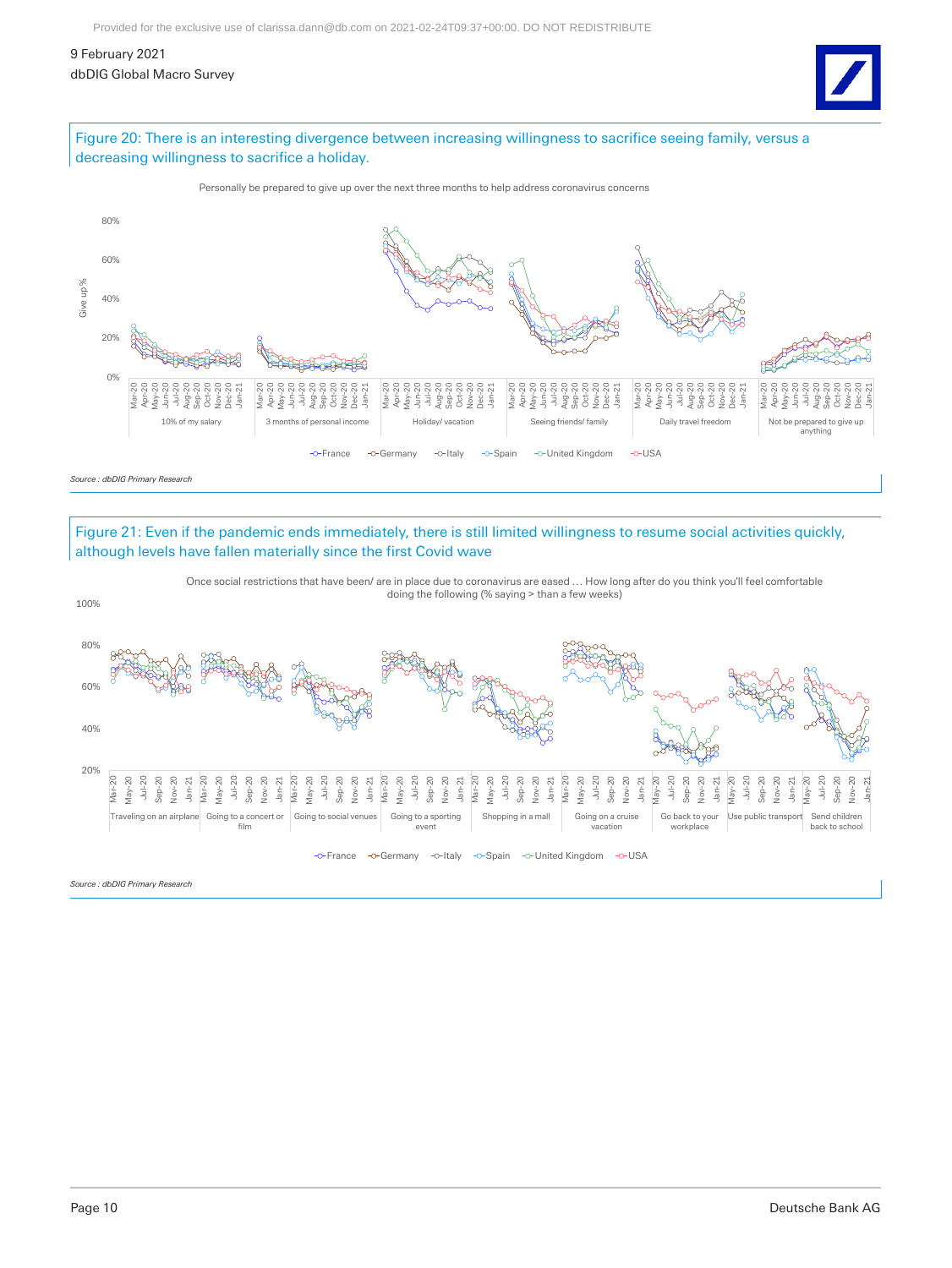9 February 2021

dbDIG Global Macro Survey



### Figure 20: There is an interesting divergence between increasing willingness to sacrifice seeing family, versus a decreasing willingness to sacrifice a holiday.



### Figure 21: Even if the pandemic ends immediately, there is still limited willingness to resume social activities quickly, although levels have fallen materially since the first Covid wave



Once social restrictions that have been/ are in place due to coronavirus are eased … How long after do you think you'll feel comfortable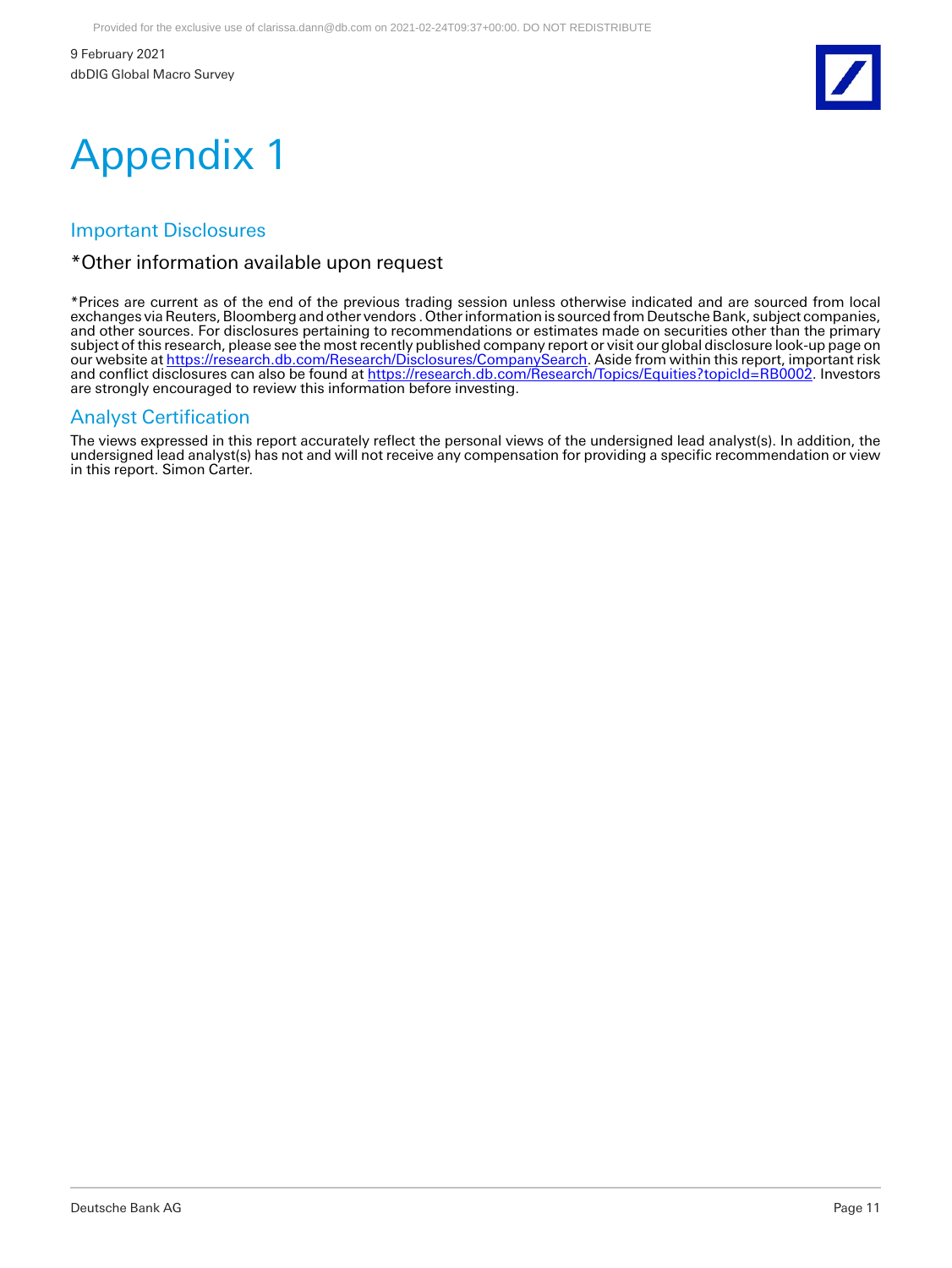

# Appendix 1

### Important Disclosures

### \*Other information available upon request

\*Prices are current as of the end of the previous trading session unless otherwise indicated and are sourced from local exchanges via Reuters, Bloomberg and other vendors . Other information is sourced from Deutsche Bank, subject companies, and other sources. For disclosures pertaining to recommendations or estimates made on securities other than the primary subject of this research, please see the most recently published company report or visit our global disclosure look-up page on our website at <u>https://research.db.com/Research/Disclosures/CompanySearch</u>. Aside from within this report, important risk and conflict disclosures can also be found at <u>https://research.db.com/Research/Topics/Equities?topicId=RB0002</u>. Investors are strongly encouraged to review this information before investing.

### Analyst Certification

The views expressed in this report accurately reflect the personal views of the undersigned lead analyst(s). In addition, the undersigned lead analyst(s) has not and will not receive any compensation for providing a specific recommendation or view in this report. Simon Carter.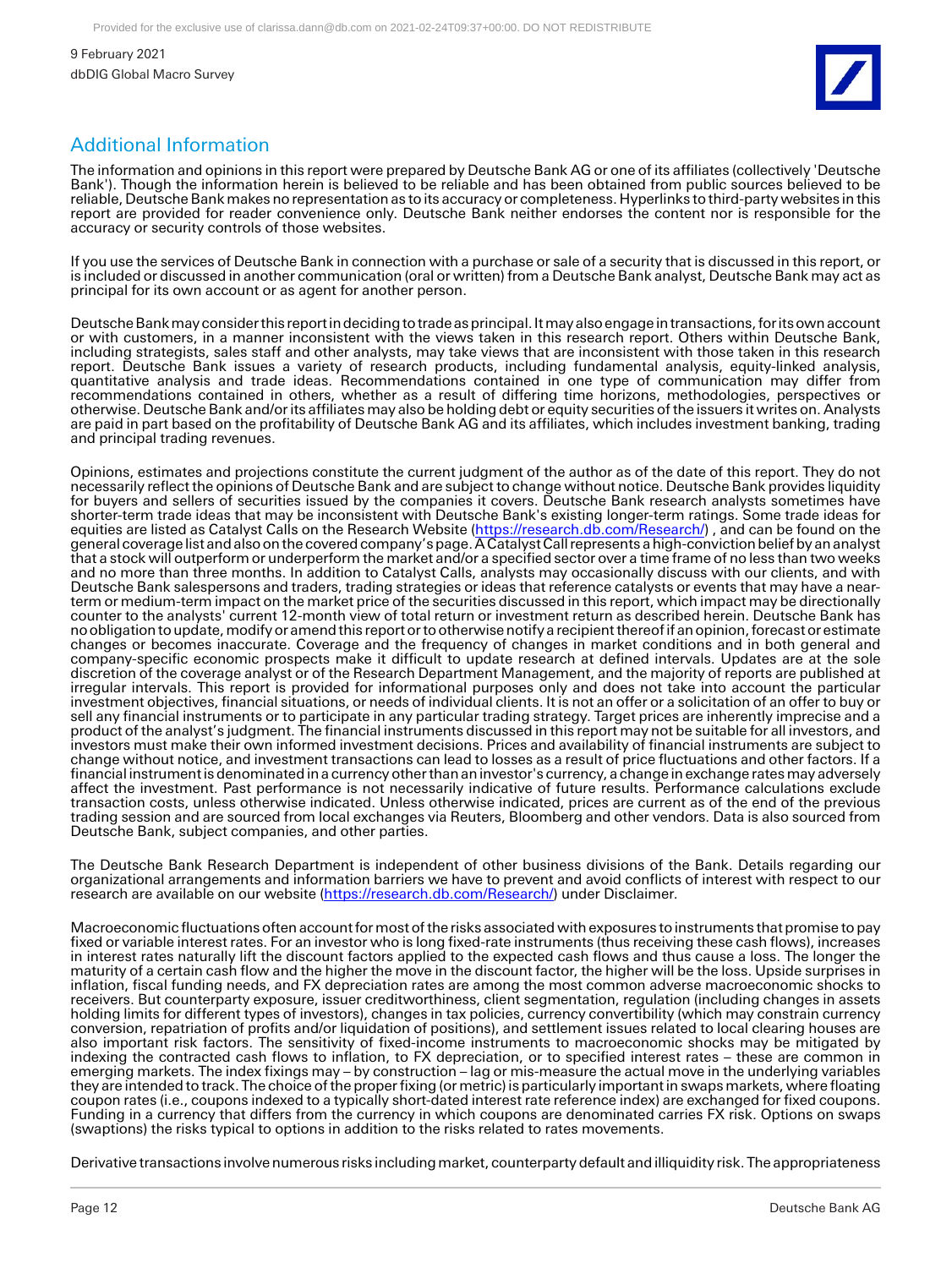

### Additional Information

The information and opinions in this report were prepared by Deutsche Bank AG or one of its affiliates (collectively 'Deutsche Bank'). Though the information herein is believed to be reliable and has been obtained from public sources believed to be reliable, Deutsche Bank makes no representation as to its accuracy or completeness. Hyperlinks to third-party websites in this report are provided for reader convenience only. Deutsche Bank neither endorses the content nor is responsible for the accuracy or security controls of those websites.

If you use the services of Deutsche Bank in connection with a purchase or sale of a security that is discussed in this report, or is included or discussed in another communication (oral or written) from a Deutsche Bank analyst, Deutsche Bank may act as principal for its own account or as agent for another person.

Deutsche Bank may consider this report in deciding to trade as principal. It may also engage in transactions, for its own account or with customers, in a manner inconsistent with the views taken in this research report. Others within Deutsche Bank, including strategists, sales staff and other analysts, may take views that are inconsistent with those taken in this research report. Deutsche Bank issues a variety of research products, including fundamental analysis, equity-linked analysis, quantitative analysis and trade ideas. Recommendations contained in one type of communication may differ from recommendations contained in others, whether as a result of differing time horizons, methodologies, perspectives or otherwise. Deutsche Bank and/or its affiliates may also be holding debt or equity securities of the issuers it writes on. Analysts are paid in part based on the profitability of Deutsche Bank AG and its affiliates, which includes investment banking, trading and principal trading revenues.

Opinions, estimates and projections constitute the current judgment of the author as of the date of this report. They do not necessarily reflect the opinions of Deutsche Bank and are subject to change without notice. Deutsche Bank provides liquidity for buyers and sellers of securities issued by the companies it covers. Deutsche Bank research analysts sometimes have shorter-term trade ideas that may be inconsistent with Deutsche Bank's existing longer-term ratings. Some trade ideas for equities are listed as Catalyst Calls on the Research Website [\(https://research.db.com/Research/\)](https://research.db.com/Research/), and can be found on the general coverage list and also on the covered company's page. A Catalyst Call represents a high-conviction belief by an analyst that a stock will outperform or underperform the market and/or a specified sector over a time frame of no less than two weeks and no more than three months. In addition to Catalyst Calls, analysts may occasionally discuss with our clients, and with Deutsche Bank salespersons and traders, trading strategies or ideas that reference catalysts or events that may have a nearterm or medium-term impact on the market price of the securities discussed in this report, which impact may be directionally counter to the analysts' current 12-month view of total return or investment return as described herein. Deutsche Bank has no obligation to update, modify or amend this report or to otherwise notify a recipient thereof if an opinion, forecast or estimate changes or becomes inaccurate. Coverage and the frequency of changes in market conditions and in both general and company-specific economic prospects make it difficult to update research at defined intervals. Updates are at the sole discretion of the coverage analyst or of the Research Department Management, and the majority of reports are published at irregular intervals. This report is provided for informational purposes only and does not take into account the particular investment objectives, financial situations, or needs of individual clients. It is not an offer or a solicitation of an offer to buy or sell any financial instruments or to participate in any particular trading strategy. Target prices are inherently imprecise and a product of the analyst's judgment. The financial instruments discussed in this report may not be suitable for all investors, and investors must make their own informed investment decisions. Prices and availability of financial instruments are subject to change without notice, and investment transactions can lead to losses as a result of price fluctuations and other factors. If a financial instrument is denominated in a currency other than an investor's currency, a change in exchange rates may adversely affect the investment. Past performance is not necessarily indicative of future results. Performance calculations exclude transaction costs, unless otherwise indicated. Unless otherwise indicated, prices are current as of the end of the previous trading session and are sourced from local exchanges via Reuters, Bloomberg and other vendors. Data is also sourced from Deutsche Bank, subject companies, and other parties.

The Deutsche Bank Research Department is independent of other business divisions of the Bank. Details regarding our organizational arrangements and information barriers we have to prevent and avoid conflicts of interest with respect to our research are available on our website [\(https://research.db.com/Research/\)](https://research.db.com/Research/) under Disclaimer.

Macroeconomic fluctuations often account for most of the risks associated with exposures to instruments that promise to pay fixed or variable interest rates. For an investor who is long fixed-rate instruments (thus receiving these cash flows), increases in interest rates naturally lift the discount factors applied to the expected cash flows and thus cause a loss. The longer the maturity of a certain cash flow and the higher the move in the discount factor, the higher will be the loss. Upside surprises in inflation, fiscal funding needs, and FX depreciation rates are among the most common adverse macroeconomic shocks to receivers. But counterparty exposure, issuer creditworthiness, client segmentation, regulation (including changes in assets holding limits for different types of investors), changes in tax policies, currency convertibility (which may constrain currency conversion, repatriation of profits and/or liquidation of positions), and settlement issues related to local clearing houses are also important risk factors. The sensitivity of fixed-income instruments to macroeconomic shocks may be mitigated by indexing the contracted cash flows to inflation, to FX depreciation, or to specified interest rates – these are common in emerging markets. The index fixings may – by construction – lag or mis-measure the actual move in the underlying variables they are intended to track. The choice of the proper fixing (or metric) is particularly important in swaps markets, where floating coupon rates (i.e., coupons indexed to a typically short-dated interest rate reference index) are exchanged for fixed coupons. Funding in a currency that differs from the currency in which coupons are denominated carries FX risk. Options on swaps (swaptions) the risks typical to options in addition to the risks related to rates movements.

Derivative transactions involve numerous risks including market, counterparty default and illiquidity risk. The appropriateness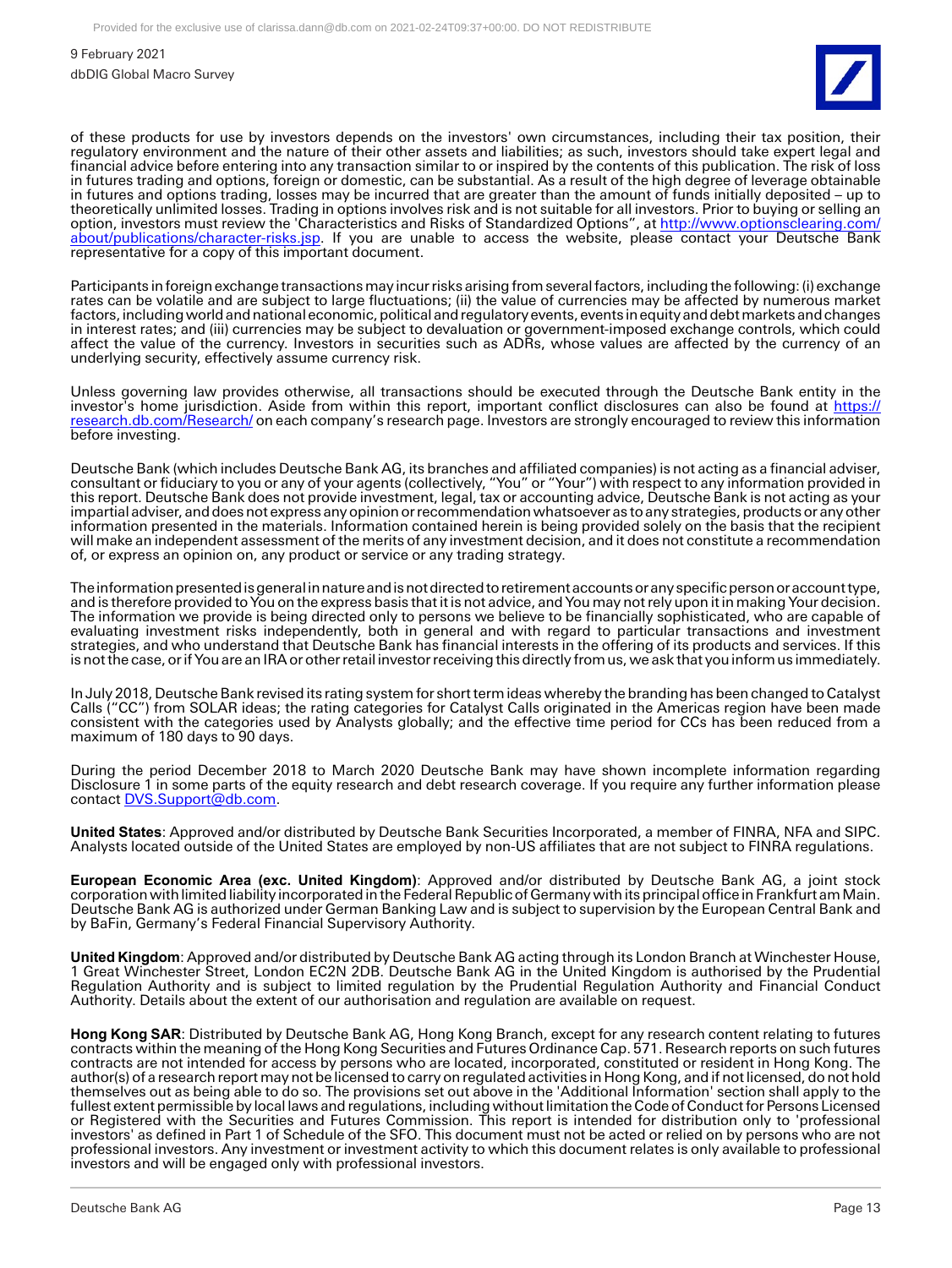

of these products for use by investors depends on the investors' own circumstances, including their tax position, their regulatory environment and the nature of their other assets and liabilities; as such, investors should take expert legal and financial advice before entering into any transaction similar to or inspired by the contents of this publication. The risk of loss in futures trading and options, foreign or domestic, can be substantial. As a result of the high degree of leverage obtainable in futures and options trading, losses may be incurred that are greater than the amount of funds initially deposited – up to theoretically unlimited losses. Trading in options involves risk and is not suitable for all investors. Prior to buying or selling an option, investors must review the 'Characteristics and Risks of Standardized Options", at [http://www.optionsclearing.com/](http://www.optionsclearing.com/about/publications/character-risks.jsp) [about/publications/character-risks.jsp.](http://www.optionsclearing.com/about/publications/character-risks.jsp) If you are unable to access the website, please contact your Deutsche Bank representative for a copy of this important document.

Participants in foreign exchange transactions may incur risks arising from several factors, including the following: (i) exchange rates can be volatile and are subject to large fluctuations; (ii) the value of currencies may be affected by numerous market factors, including world and national economic, political and regulatory events, events in equity and debt markets and changes in interest rates; and (iii) currencies may be subject to devaluation or government-imposed exchange controls, which could affect the value of the currency. Investors in securities such as ADRs, whose values are affected by the currency of an underlying security, effectively assume currency risk.

Unless governing law provides otherwise, all transactions should be executed through the Deutsche Bank entity in the investor's home jurisdiction. Aside from within this report, important conflict disclosures can also be found at [https://](https://research.db.com/Research/) [research.db.com/Research/](https://research.db.com/Research/) on each company's research page. Investors are strongly encouraged to review this information before investing.

Deutsche Bank (which includes Deutsche Bank AG, its branches and affiliated companies) is not acting as a financial adviser, consultant or fiduciary to you or any of your agents (collectively, "You" or "Your") with respect to any information provided in this report. Deutsche Bank does not provide investment, legal, tax or accounting advice, Deutsche Bank is not acting as your impartial adviser, and does not express any opinion or recommendation whatsoever as to any strategies, products or any other information presented in the materials. Information contained herein is being provided solely on the basis that the recipient will make an independent assessment of the merits of any investment decision, and it does not constitute a recommendation of, or express an opinion on, any product or service or any trading strategy.

The information presented is general in nature and is not directed to retirement accounts or any specific person or account type, and is therefore provided to You on the express basis that it is not advice, and You may not rely upon it in making Your decision. The information we provide is being directed only to persons we believe to be financially sophisticated, who are capable of evaluating investment risks independently, both in general and with regard to particular transactions and investment strategies, and who understand that Deutsche Bank has financial interests in the offering of its products and services. If this is not the case, or if You are an IRA or other retail investor receiving this directly from us, we ask that you inform us immediately.

In July 2018, Deutsche Bank revised its rating system for short term ideas whereby the branding has been changed to Catalyst Calls ("CC") from SOLAR ideas; the rating categories for Catalyst Calls originated in the Americas region have been made consistent with the categories used by Analysts globally; and the effective time period for CCs has been reduced from a maximum of 180 days to 90 days.

During the period December 2018 to March 2020 Deutsche Bank may have shown incomplete information regarding Disclosure 1 in some parts of the equity research and debt research coverage. If you require any further information please contact [DVS.Support@db.com.](mailto:DVS.Support@db.com)

**United States**: Approved and/or distributed by Deutsche Bank Securities Incorporated, a member of FINRA, NFA and SIPC. Analysts located outside of the United States are employed by non-US affiliates that are not subject to FINRA regulations.

**European Economic Area (exc. United Kingdom)**: Approved and/or distributed by Deutsche Bank AG, a joint stock corporation with limited liability incorporated in the Federal Republic of Germany with its principal office in Frankfurt am Main. Deutsche Bank AG is authorized under German Banking Law and is subject to supervision by the European Central Bank and by BaFin, Germany's Federal Financial Supervisory Authority.

**United Kingdom**: Approved and/or distributed by Deutsche Bank AG acting through its London Branch at Winchester House, 1 Great Winchester Street, London EC2N 2DB. Deutsche Bank AG in the United Kingdom is authorised by the Prudential Regulation Authority and is subject to limited regulation by the Prudential Regulation Authority and Financial Conduct Authority. Details about the extent of our authorisation and regulation are available on request.

**Hong Kong SAR**: Distributed by Deutsche Bank AG, Hong Kong Branch, except for any research content relating to futures contracts within the meaning of the Hong Kong Securities and Futures Ordinance Cap. 571. Research reports on such futures contracts are not intended for access by persons who are located, incorporated, constituted or resident in Hong Kong. The author(s) of a research report may not be licensed to carry on regulated activities in Hong Kong, and if not licensed, do not hold themselves out as being able to do so. The provisions set out above in the 'Additional Information' section shall apply to the fullest extent permissible by local laws and regulations, including without limitation the Code of Conduct for Persons Licensed or Registered with the Securities and Futures Commission. This report is intended for distribution only to 'professional investors' as defined in Part 1 of Schedule of the SFO. This document must not be acted or relied on by persons who are not professional investors. Any investment or investment activity to which this document relates is only available to professional investors and will be engaged only with professional investors.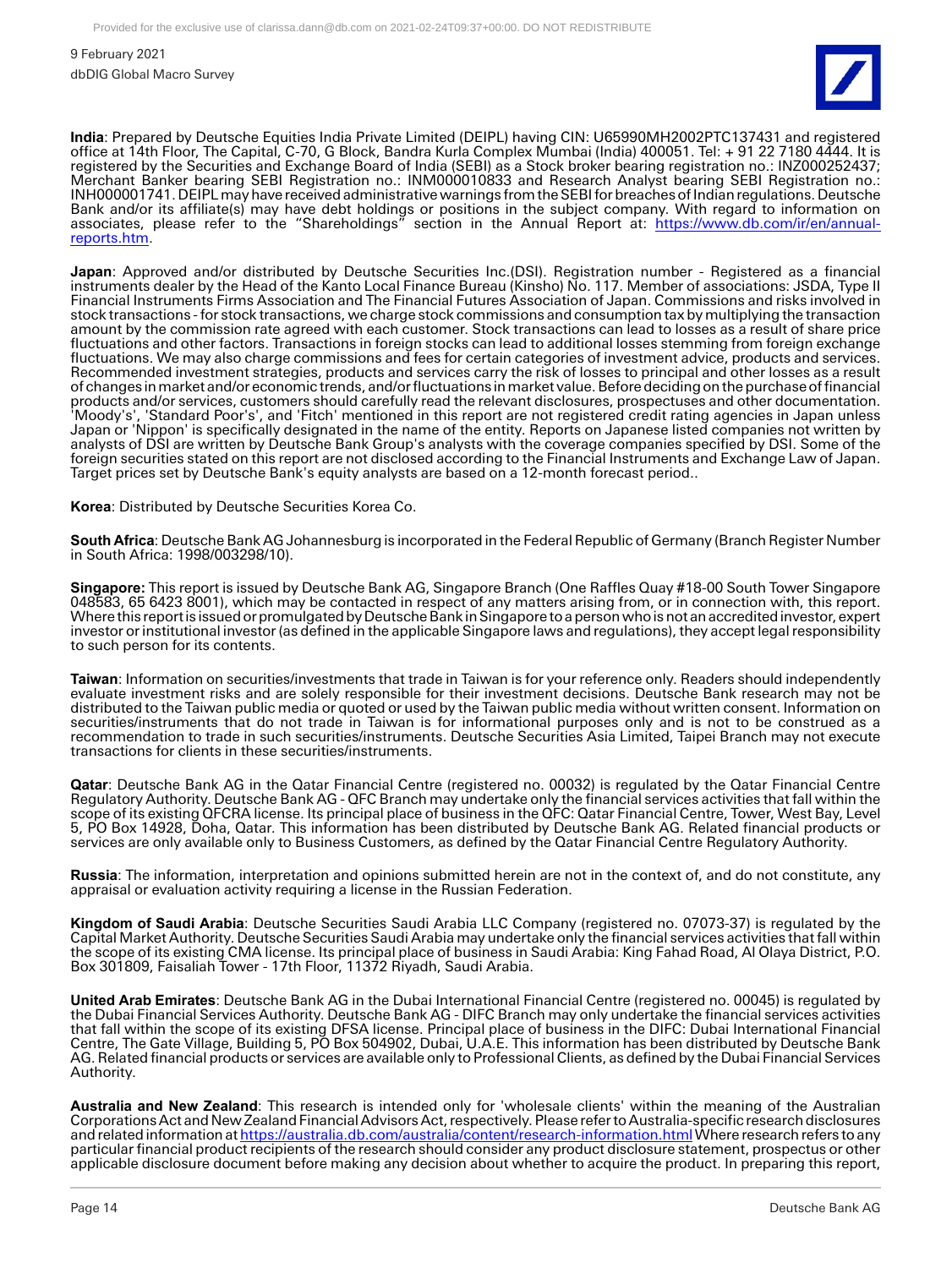

**India**: Prepared by Deutsche Equities India Private Limited (DEIPL) having CIN: U65990MH2002PTC137431 and registered office at 14th Floor, The Capital, C-70, G Block, Bandra Kurla Complex Mumbai (India) 400051. Tel: + 91 22 7180 4444. It is registered by the Securities and Exchange Board of India (SEBI) as a Stock broker bearing registration no.: INZ000252437; Merchant Banker bearing SEBI Registration no.: INM000010833 and Research Analyst bearing SEBI Registration no.: INH000001741. DEIPL may have received administrative warnings from the SEBI for breaches of Indian regulations. Deutsche Bank and/or its affiliate(s) may have debt holdings or positions in the subject company. With regard to information on associates, please refer to the "Shareholdings" section in the Annual Report at: [https://www.db.com/ir/en/annual](https://www.db.com/ir/en/annual-reports.htm)[reports.htm.](https://www.db.com/ir/en/annual-reports.htm)

**Japan**: Approved and/or distributed by Deutsche Securities Inc.(DSI). Registration number - Registered as a financial instruments dealer by the Head of the Kanto Local Finance Bureau (Kinsho) No. 117. Member of associations: JSDA, Type II Financial Instruments Firms Association and The Financial Futures Association of Japan. Commissions and risks involved in stock transactions - for stock transactions, we charge stock commissions and consumption tax by multiplying the transaction amount by the commission rate agreed with each customer. Stock transactions can lead to losses as a result of share price fluctuations and other factors. Transactions in foreign stocks can lead to additional losses stemming from foreign exchange fluctuations. We may also charge commissions and fees for certain categories of investment advice, products and services. Recommended investment strategies, products and services carry the risk of losses to principal and other losses as a result of changes in market and/or economic trends, and/or fluctuations in market value. Before deciding on the purchase of financial products and/or services, customers should carefully read the relevant disclosures, prospectuses and other documentation. 'Moody's', 'Standard Poor's', and 'Fitch' mentioned in this report are not registered credit rating agencies in Japan unless Japan or 'Nippon' is specifically designated in the name of the entity. Reports on Japanese listed companies not written by analysts of DSI are written by Deutsche Bank Group's analysts with the coverage companies specified by DSI. Some of the foreign securities stated on this report are not disclosed according to the Financial Instruments and Exchange Law of Japan. Target prices set by Deutsche Bank's equity analysts are based on a 12-month forecast period..

**Korea**: Distributed by Deutsche Securities Korea Co.

**South Africa**: Deutsche Bank AG Johannesburg is incorporated in the Federal Republic of Germany (Branch Register Number in South Africa: 1998/003298/10).

**Singapore:** This report is issued by Deutsche Bank AG, Singapore Branch (One Raffles Quay #18-00 South Tower Singapore 048583, 65 6423 8001), which may be contacted in respect of any matters arising from, or in connection with, this report. Where this report is issued or promulgated by Deutsche Bank in Singapore to a person who is not an accredited investor, expert investor or institutional investor (as defined in the applicable Singapore laws and regulations), they accept legal responsibility to such person for its contents.

**Taiwan**: Information on securities/investments that trade in Taiwan is for your reference only. Readers should independently evaluate investment risks and are solely responsible for their investment decisions. Deutsche Bank research may not be distributed to the Taiwan public media or quoted or used by the Taiwan public media without written consent. Information on securities/instruments that do not trade in Taiwan is for informational purposes only and is not to be construed as a recommendation to trade in such securities/instruments. Deutsche Securities Asia Limited, Taipei Branch may not execute transactions for clients in these securities/instruments.

**Qatar**: Deutsche Bank AG in the Qatar Financial Centre (registered no. 00032) is regulated by the Qatar Financial Centre Regulatory Authority. Deutsche Bank AG - QFC Branch may undertake only the financial services activities that fall within the scope of its existing QFCRA license. Its principal place of business in the QFC: Qatar Financial Centre, Tower, West Bay, Level 5, PO Box 14928, Doha, Qatar. This information has been distributed by Deutsche Bank AG. Related financial products or services are only available only to Business Customers, as defined by the Qatar Financial Centre Regulatory Authority.

**Russia**: The information, interpretation and opinions submitted herein are not in the context of, and do not constitute, any appraisal or evaluation activity requiring a license in the Russian Federation.

**Kingdom of Saudi Arabia**: Deutsche Securities Saudi Arabia LLC Company (registered no. 07073-37) is regulated by the Capital Market Authority. Deutsche Securities Saudi Arabia may undertake only the financial services activities that fall within the scope of its existing CMA license. Its principal place of business in Saudi Arabia: King Fahad Road, Al Olaya District, P.O. Box 301809, Faisaliah Tower - 17th Floor, 11372 Riyadh, Saudi Arabia.

**United Arab Emirates**: Deutsche Bank AG in the Dubai International Financial Centre (registered no. 00045) is regulated by the Dubai Financial Services Authority. Deutsche Bank AG - DIFC Branch may only undertake the financial services activities that fall within the scope of its existing DFSA license. Principal place of business in the DIFC: Dubai International Financial Centre, The Gate Village, Building 5, PO Box 504902, Dubai, U.A.E. This information has been distributed by Deutsche Bank AG. Related financial products or services are available only to Professional Clients, as defined by the Dubai Financial Services Authority.

**Australia and New Zealand**: This research is intended only for 'wholesale clients' within the meaning of the Australian Corporations Act and New Zealand Financial Advisors Act, respectively. Please refer to Australia-specific research disclosures and related information a[t https://australia.db.com/australia/content/research-information.html W](https://australia.db.com/australia/content/research-information.html)here research refers to any particular financial product recipients of the research should consider any product disclosure statement, prospectus or other applicable disclosure document before making any decision about whether to acquire the product. In preparing this report,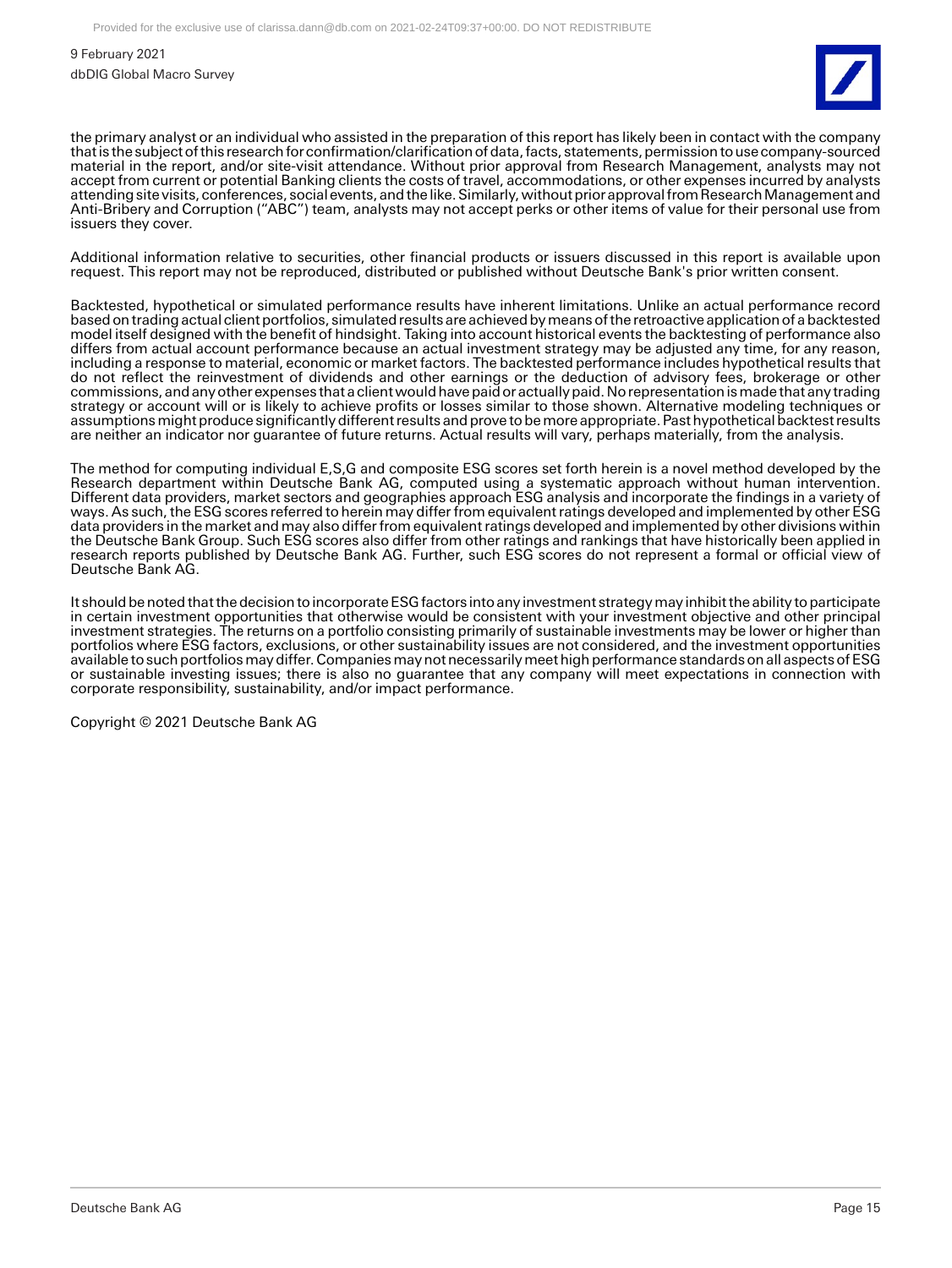

the primary analyst or an individual who assisted in the preparation of this report has likely been in contact with the company that is the subject of this research for confirmation/clarification of data, facts, statements, permission to use company-sourced material in the report, and/or site-visit attendance. Without prior approval from Research Management, analysts may not accept from current or potential Banking clients the costs of travel, accommodations, or other expenses incurred by analysts attending site visits, conferences, social events, and the like. Similarly, without prior approval from Research Management and Anti-Bribery and Corruption ("ABC") team, analysts may not accept perks or other items of value for their personal use from issuers they cover.

Additional information relative to securities, other financial products or issuers discussed in this report is available upon request. This report may not be reproduced, distributed or published without Deutsche Bank's prior written consent.

Backtested, hypothetical or simulated performance results have inherent limitations. Unlike an actual performance record based on trading actual client portfolios, simulated results are achieved by means of the retroactive application of a backtested model itself designed with the benefit of hindsight. Taking into account historical events the backtesting of performance also differs from actual account performance because an actual investment strategy may be adjusted any time, for any reason, including a response to material, economic or market factors. The backtested performance includes hypothetical results that do not reflect the reinvestment of dividends and other earnings or the deduction of advisory fees, brokerage or other commissions, and any other expenses that a client would have paid or actually paid. No representation is made that any trading strategy or account will or is likely to achieve profits or losses similar to those shown. Alternative modeling techniques or assumptions might produce significantly different results and prove to be more appropriate. Past hypothetical backtest results are neither an indicator nor guarantee of future returns. Actual results will vary, perhaps materially, from the analysis.

The method for computing individual E,S,G and composite ESG scores set forth herein is a novel method developed by the Research department within Deutsche Bank AG, computed using a systematic approach without human intervention. Different data providers, market sectors and geographies approach ESG analysis and incorporate the findings in a variety of ways. As such, the ESG scores referred to herein may differ from equivalent ratings developed and implemented by other ESG data providers in the market and may also differ from equivalent ratings developed and implemented by other divisions within the Deutsche Bank Group. Such ESG scores also differ from other ratings and rankings that have historically been applied in research reports published by Deutsche Bank AG. Further, such ESG scores do not represent a formal or official view of Deutsche Bank AG.

It should be noted that the decision to incorporate ESG factors into any investment strategy may inhibit the ability to participate in certain investment opportunities that otherwise would be consistent with your investment objective and other principal investment strategies. The returns on a portfolio consisting primarily of sustainable investments may be lower or higher than portfolios where ESG factors, exclusions, or other sustainability issues are not considered, and the investment opportunities available to such portfolios may differ. Companies may not necessarily meet high performance standards on all aspects of ESG or sustainable investing issues; there is also no guarantee that any company will meet expectations in connection with corporate responsibility, sustainability, and/or impact performance.

Copyright © 2021 Deutsche Bank AG